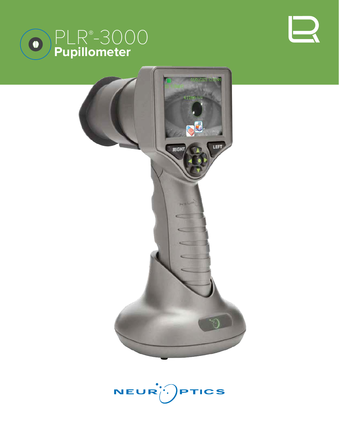





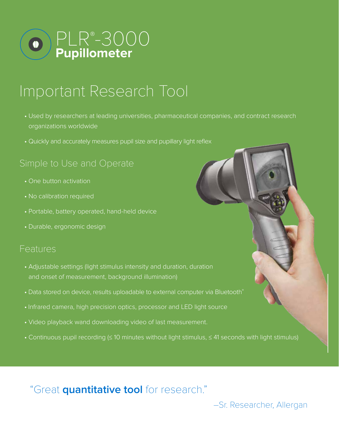

## Important Research Tool

- Used by researchers at leading universities, pharmaceutical companies, and contract research organizations worldwide
- Quickly and accurately measures pupil size and pupillary light reflex

## Simple to Use and Operate

- One button activation
- No calibration required
- Portable, battery operated, hand-held device
- Durable, ergonomic design

### Features

- Adjustable settings (light stimulus intensity and duration, duration and onset of measurement, background illumination)
- Data stored on device, results uploadable to external computer via Bluetooth®
- Infrared camera, high precision optics, processor and LED light source
- Video playback wand downloading video of last measurement.
- Continuous pupil recording (≤ 10 minutes without light stimulus, ≤ 41 seconds with light stimulus)

"Great **quantitative tool** for research."

–Sr. Researcher, Allergan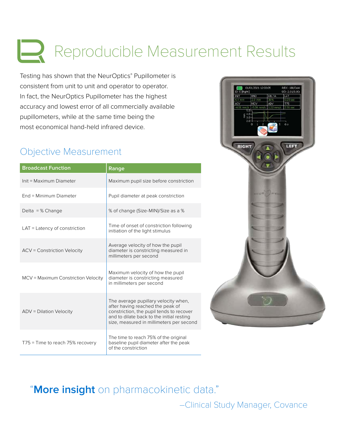# Reproducible Measurement Results

Testing has shown that the NeurOptics® Pupillometer is consistent from unit to unit and operator to operator. In fact, the NeurOptics Pupillometer has the highest accuracy and lowest error of all commercially available pupillometers, while at the same time being the most economical hand-held infrared device.

## Objective Measurement

| <b>Broadcast Function</b>           | Range                                                                                                                                                                                                         |
|-------------------------------------|---------------------------------------------------------------------------------------------------------------------------------------------------------------------------------------------------------------|
| Init = Maximum Diameter             | Maximum pupil size before constriction                                                                                                                                                                        |
| End = Minimum Diameter              | Pupil diameter at peak constriction                                                                                                                                                                           |
| Delta = $%$ Change                  | % of change (Size-MIN)/Size as a %                                                                                                                                                                            |
| $LAT = Latency$ of constriction     | Time of onset of constriction following<br>initiation of the light stimulus                                                                                                                                   |
| <b>ACV = Constriction Velocity</b>  | Average velocity of how the pupil<br>diameter is constricting measured in<br>millimeters per second                                                                                                           |
| MCV = Maximum Constriction Velocity | Maximum velocity of how the pupil<br>diameter is constricting measured<br>in millimeters per second                                                                                                           |
| ADV = Dilation Velocity             | The average pupillary velocity when,<br>after having reached the peak of<br>constriction, the pupil tends to recover<br>and to dilate back to the initial resting<br>size, measured in millimeters per second |
| T75 = Time to reach 75% recovery    | The time to reach 75% of the original<br>baseline pupil diameter after the peak<br>of the constriction                                                                                                        |



## "**More insight** on pharmacokinetic data."

–Clinical Study Manager, Covance